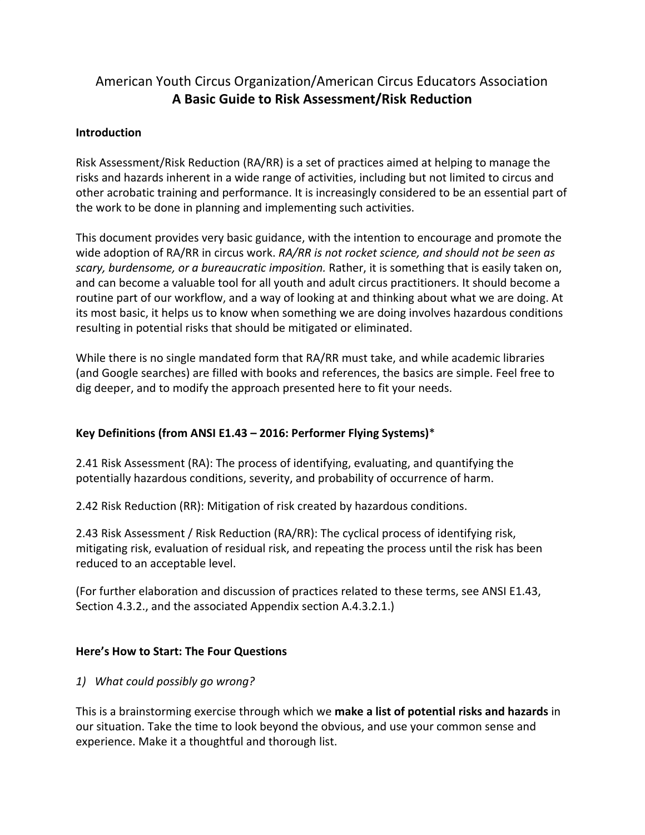# American Youth Circus Organization/American Circus Educators Association **A Basic Guide to Risk Assessment/Risk Reduction**

## **Introduction**

Risk Assessment/Risk Reduction (RA/RR) is a set of practices aimed at helping to manage the risks and hazards inherent in a wide range of activities, including but not limited to circus and other acrobatic training and performance. It is increasingly considered to be an essential part of the work to be done in planning and implementing such activities.

This document provides very basic guidance, with the intention to encourage and promote the wide adoption of RA/RR in circus work. *RA/RR is not rocket science, and should not be seen as scary, burdensome, or a bureaucratic imposition.* Rather, it is something that is easily taken on, and can become a valuable tool for all youth and adult circus practitioners. It should become a routine part of our workflow, and a way of looking at and thinking about what we are doing. At its most basic, it helps us to know when something we are doing involves hazardous conditions resulting in potential risks that should be mitigated or eliminated.

While there is no single mandated form that RA/RR must take, and while academic libraries (and Google searches) are filled with books and references, the basics are simple. Feel free to dig deeper, and to modify the approach presented here to fit your needs.

# **Key Definitions (from ANSI E1.43 – 2016: Performer Flying Systems)**\*

2.41 Risk Assessment (RA): The process of identifying, evaluating, and quantifying the potentially hazardous conditions, severity, and probability of occurrence of harm.

2.42 Risk Reduction (RR): Mitigation of risk created by hazardous conditions.

2.43 Risk Assessment / Risk Reduction (RA/RR): The cyclical process of identifying risk, mitigating risk, evaluation of residual risk, and repeating the process until the risk has been reduced to an acceptable level.

(For further elaboration and discussion of practices related to these terms, see ANSI E1.43, Section 4.3.2., and the associated Appendix section A.4.3.2.1.)

#### **Here's How to Start: The Four Questions**

# *1) What could possibly go wrong?*

This is a brainstorming exercise through which we **make a list of potential risks and hazards** in our situation. Take the time to look beyond the obvious, and use your common sense and experience. Make it a thoughtful and thorough list.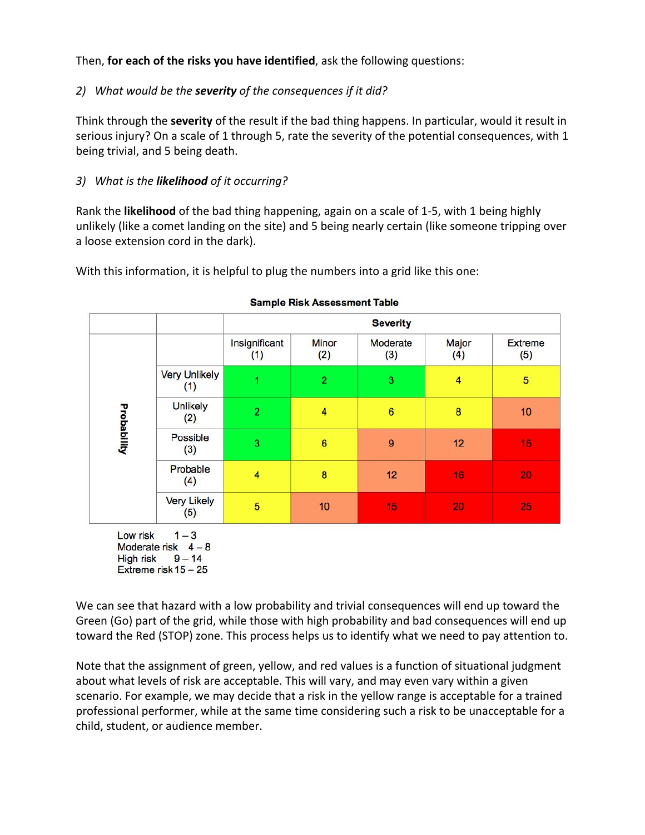# Then, **for each of the risks you have identified**, ask the following questions:

# *2) What would be the severity of the consequences if it did?*

Think through the **severity** of the result if the bad thing happens. In particular, would it result in serious injury? On a scale of 1 through 5, rate the severity of the potential consequences, with 1 being trivial, and 5 being death.

# *3) What is the likelihood of it occurring?*

Rank the **likelihood** of the bad thing happening, again on a scale of 1-5, with 1 being highly unlikely (like a comet landing on the site) and 5 being nearly certain (like someone tripping over a loose extension cord in the dark).

With this information, it is helpful to plug the numbers into a grid like this one:

|             |                             | <b>Severity</b>      |                     |                 |                |                |
|-------------|-----------------------------|----------------------|---------------------|-----------------|----------------|----------------|
| Probability |                             | Insignificant<br>(1) | <b>Minor</b><br>(2) | Moderate<br>(3) | Major<br>(4)   | Extreme<br>(5) |
|             | <b>Very Unlikely</b><br>(1) | ٩                    | $\overline{2}$      | 3               | $\overline{4}$ | $\overline{5}$ |
|             | <b>Unlikely</b><br>(2)      | $\overline{2}$       | 4                   | $6\phantom{a}$  | 8              | 10             |
|             | Possible<br>(3)             | 3                    | $6\phantom{1}$      | 9               | 12             | 15             |
|             | Probable<br>(4)             | 4                    | 8                   | 12              | 16             | 20             |
|             | Very Likely<br>(5)          | 5                    | 10                  | 15              | 20             | 25             |

#### **Sample Risk Assessment Table**

Low risk  $1-3$ Moderate risk  $4-8$ High risk  $9-14$ Extreme risk 15 - 25

We can see that hazard with a low probability and trivial consequences will end up toward the Green (Go) part of the grid, while those with high probability and bad consequences will end up toward the Red (STOP) zone. This process helps us to identify what we need to pay attention to.

Note that the assignment of green, yellow, and red values is a function of situational judgment about what levels of risk are acceptable. This will vary, and may even vary within a given scenario. For example, we may decide that a risk in the yellow range is acceptable for a trained professional performer, while at the same time considering such a risk to be unacceptable for a child, student, or audience member.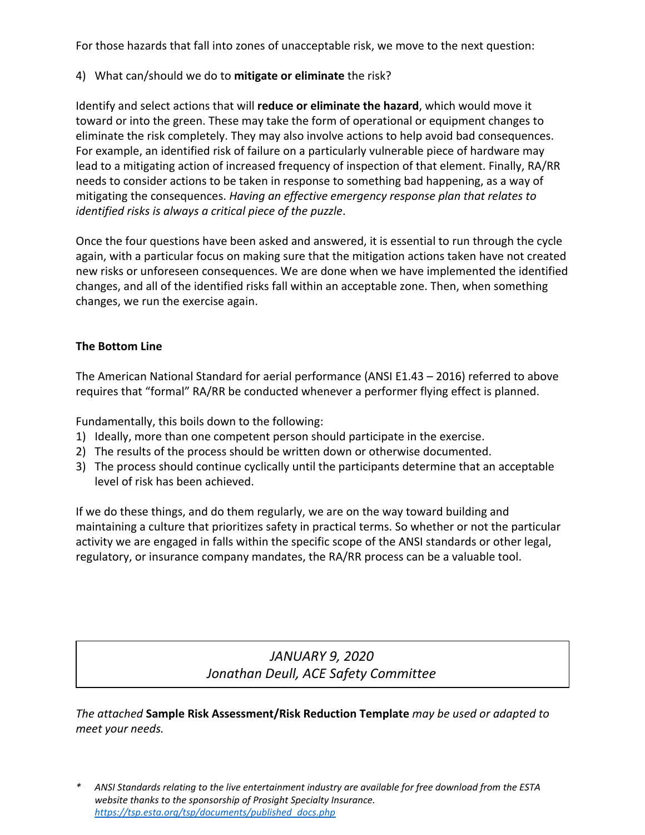For those hazards that fall into zones of unacceptable risk, we move to the next question:

4) What can/should we do to **mitigate or eliminate** the risk?

Identify and select actions that will **reduce or eliminate the hazard**, which would move it toward or into the green. These may take the form of operational or equipment changes to eliminate the risk completely. They may also involve actions to help avoid bad consequences. For example, an identified risk of failure on a particularly vulnerable piece of hardware may lead to a mitigating action of increased frequency of inspection of that element. Finally, RA/RR needs to consider actions to be taken in response to something bad happening, as a way of mitigating the consequences. *Having an effective emergency response plan that relates to identified risks is always a critical piece of the puzzle*.

Once the four questions have been asked and answered, it is essential to run through the cycle again, with a particular focus on making sure that the mitigation actions taken have not created new risks or unforeseen consequences. We are done when we have implemented the identified changes, and all of the identified risks fall within an acceptable zone. Then, when something changes, we run the exercise again.

### **The Bottom Line**

The American National Standard for aerial performance (ANSI E1.43 – 2016) referred to above requires that "formal" RA/RR be conducted whenever a performer flying effect is planned.

Fundamentally, this boils down to the following:

- 1) Ideally, more than one competent person should participate in the exercise.
- 2) The results of the process should be written down or otherwise documented.
- 3) The process should continue cyclically until the participants determine that an acceptable level of risk has been achieved.

If we do these things, and do them regularly, we are on the way toward building and maintaining a culture that prioritizes safety in practical terms. So whether or not the particular activity we are engaged in falls within the specific scope of the ANSI standards or other legal, regulatory, or insurance company mandates, the RA/RR process can be a valuable tool.

# *JANUARY 9, 2020 Jonathan Deull, ACE Safety Committee*

*The attached* **Sample Risk Assessment/Risk Reduction Template** *may be used or adapted to meet your needs.*

ANSI Standards relating to the live entertainment industry are available for free download from the ESTA *website thanks to the sponsorship of Prosight Specialty Insurance. [https://tsp.esta.org/tsp/documents/published\\_docs.php](https://tsp.esta.org/tsp/documents/published_docs.php)*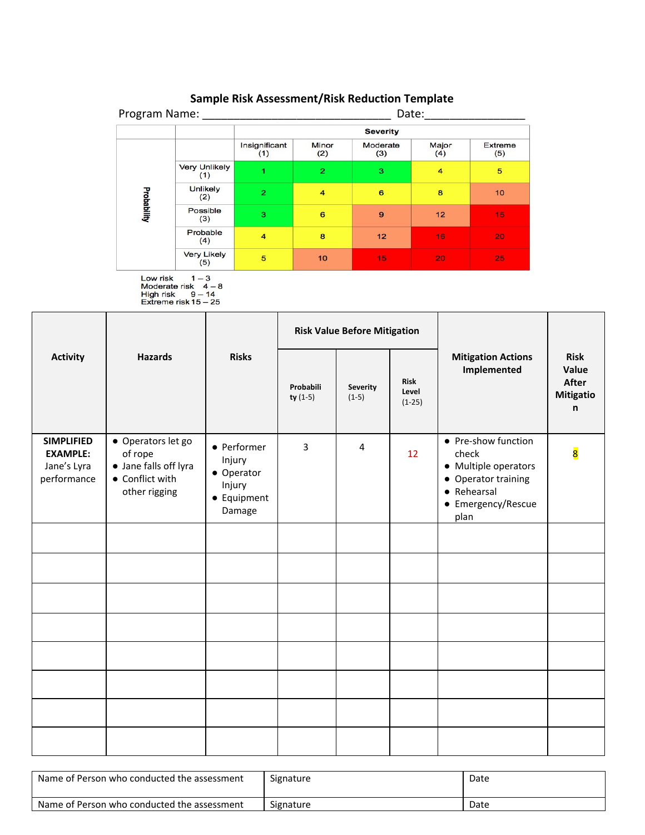| Program Name:      |                             | Date:                |                     |                 |                |                |
|--------------------|-----------------------------|----------------------|---------------------|-----------------|----------------|----------------|
|                    |                             |                      |                     | <b>Severity</b> |                |                |
| <b>Probability</b> |                             | Insignificant<br>(1) | <b>Minor</b><br>(2) | Moderate<br>(3) | Major<br>(4)   | Extreme<br>(5) |
|                    | <b>Very Unlikely</b><br>(1) | 4                    | $\overline{2}$      | 3               | $\overline{4}$ | 5              |
|                    | <b>Unlikely</b><br>(2)      | $\overline{2}$       | $\overline{4}$      | 6               | 8              | 10             |
|                    | Possible<br>(3)             | 3                    | 6                   | 9               | 12             | 15             |
|                    | Probable<br>(4)             | $\overline{4}$       | 8                   | 12              | 16             | 20             |
|                    | <b>Very Likely</b><br>(5)   | 5                    | 10                  | 15              | 20             | 25             |

# **Sample Risk Assessment/Risk Reduction Template**

Low risk  $1-3$ <br>Moderate risk  $4-8$ <br>High risk  $9-14$ <br>Extreme risk  $15-25$ 

|                                                                    | <b>Hazards</b>                                                                             | <b>Risks</b>                                                           | <b>Risk Value Before Mitigation</b> |                     |                                  |                                                                                                                          |                                                        |
|--------------------------------------------------------------------|--------------------------------------------------------------------------------------------|------------------------------------------------------------------------|-------------------------------------|---------------------|----------------------------------|--------------------------------------------------------------------------------------------------------------------------|--------------------------------------------------------|
| <b>Activity</b>                                                    |                                                                                            |                                                                        | Probabili<br>$ty(1-5)$              | Severity<br>$(1-5)$ | <b>Risk</b><br>Level<br>$(1-25)$ | <b>Mitigation Actions</b><br>Implemented                                                                                 | <b>Risk</b><br>Value<br><b>After</b><br>Mitigatio<br>n |
| <b>SIMPLIFIED</b><br><b>EXAMPLE:</b><br>Jane's Lyra<br>performance | • Operators let go<br>of rope<br>• Jane falls off lyra<br>• Conflict with<br>other rigging | • Performer<br>Injury<br>• Operator<br>Injury<br>• Equipment<br>Damage | $\overline{3}$                      | $\overline{4}$      | 12 <sup>°</sup>                  | • Pre-show function<br>check<br>• Multiple operators<br>• Operator training<br>• Rehearsal<br>• Emergency/Rescue<br>plan | $\overline{\mathbf{8}}$                                |
|                                                                    |                                                                                            |                                                                        |                                     |                     |                                  |                                                                                                                          |                                                        |
|                                                                    |                                                                                            |                                                                        |                                     |                     |                                  |                                                                                                                          |                                                        |
|                                                                    |                                                                                            |                                                                        |                                     |                     |                                  |                                                                                                                          |                                                        |
|                                                                    |                                                                                            |                                                                        |                                     |                     |                                  |                                                                                                                          |                                                        |
|                                                                    |                                                                                            |                                                                        |                                     |                     |                                  |                                                                                                                          |                                                        |
|                                                                    |                                                                                            |                                                                        |                                     |                     |                                  |                                                                                                                          |                                                        |
|                                                                    |                                                                                            |                                                                        |                                     |                     |                                  |                                                                                                                          |                                                        |
|                                                                    |                                                                                            |                                                                        |                                     |                     |                                  |                                                                                                                          |                                                        |

| Name of Person who conducted the assessment | Signature | Date |
|---------------------------------------------|-----------|------|
| Name of Person who conducted the assessment | Signature | Date |